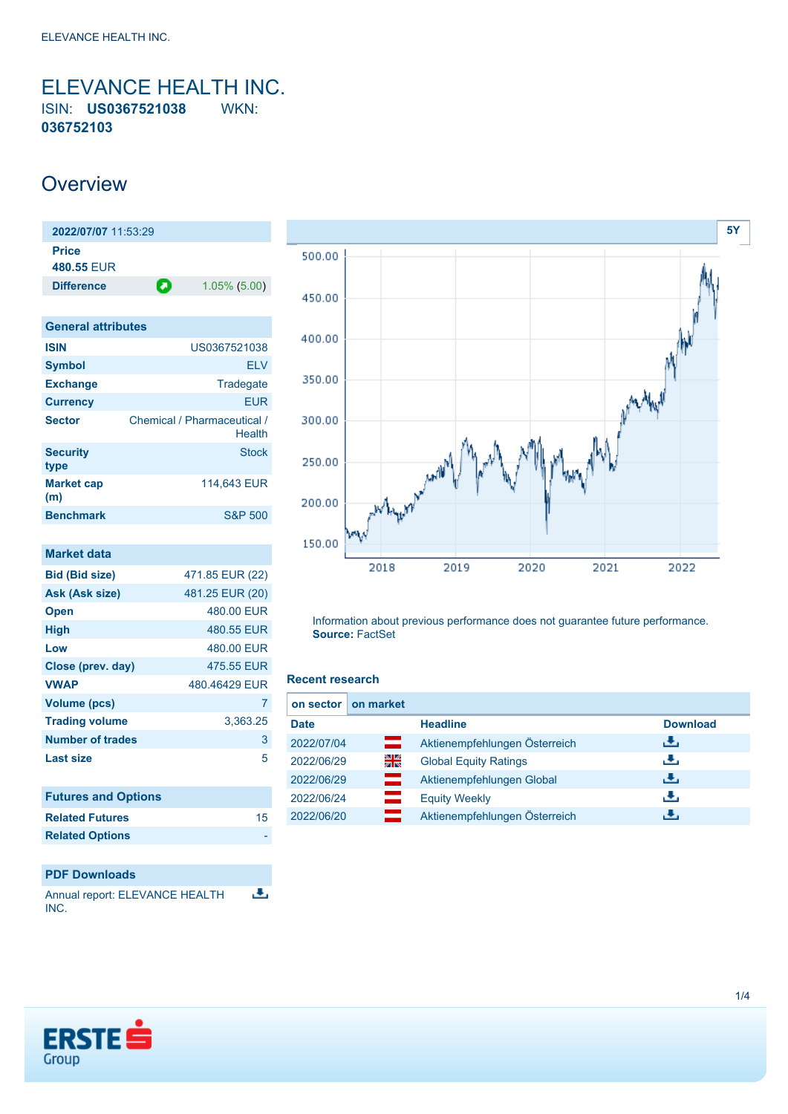<span id="page-0-0"></span>ELEVANCE HEALTH INC. ISIN: **US0367521038** WKN: **036752103**

## **Overview**

| 2022/07/07 11:53:29        |   |                 |
|----------------------------|---|-----------------|
| <b>Price</b><br>480.55 EUR |   |                 |
| <b>Difference</b>          | О | $1.05\%$ (5.00) |
|                            |   |                 |

| <b>General attributes</b> |                                       |
|---------------------------|---------------------------------------|
| <b>ISIN</b>               | US0367521038                          |
| <b>Symbol</b>             | <b>ELV</b>                            |
| <b>Exchange</b>           | Tradegate                             |
| <b>Currency</b>           | <b>FUR</b>                            |
| <b>Sector</b>             | Chemical / Pharmaceutical /<br>Health |
| <b>Security</b><br>type   | Stock                                 |
| <b>Market cap</b><br>(m)  | 114,643 EUR                           |
| <b>Benchmark</b>          | <b>S&amp;P 500</b>                    |

| <b>Market data</b>      |                 |
|-------------------------|-----------------|
| <b>Bid (Bid size)</b>   | 471.85 EUR (22) |
| Ask (Ask size)          | 481.25 EUR (20) |
| <b>Open</b>             | 480.00 EUR      |
| <b>High</b>             | 480.55 EUR      |
| Low                     | 480.00 EUR      |
| Close (prev. day)       | 475.55 EUR      |
| <b>VWAP</b>             | 480.46429 EUR   |
| Volume (pcs)            | 7               |
| <b>Trading volume</b>   | 3,363.25        |
| <b>Number of trades</b> | 3               |
| <b>Last size</b>        | 5               |
|                         |                 |
|                         |                 |

| <b>Futures and Options</b> |    |
|----------------------------|----|
| <b>Related Futures</b>     | 15 |
| <b>Related Options</b>     |    |
|                            |    |



 $\overline{\mathbf{r}}$ INC.



Information about previous performance does not guarantee future performance. **Source:** FactSet

#### **Recent research**

| on sector I | on market |                               |                 |
|-------------|-----------|-------------------------------|-----------------|
| <b>Date</b> |           | <b>Headline</b>               | <b>Download</b> |
| 2022/07/04  | =         | Aktienempfehlungen Österreich | رنان            |
| 2022/06/29  | 읡         | <b>Global Equity Ratings</b>  | رالى            |
| 2022/06/29  | —         | Aktienempfehlungen Global     | 法               |
| 2022/06/24  |           | <b>Equity Weekly</b>          | رالى            |
| 2022/06/20  | E         | Aktienempfehlungen Österreich | υЧ,             |

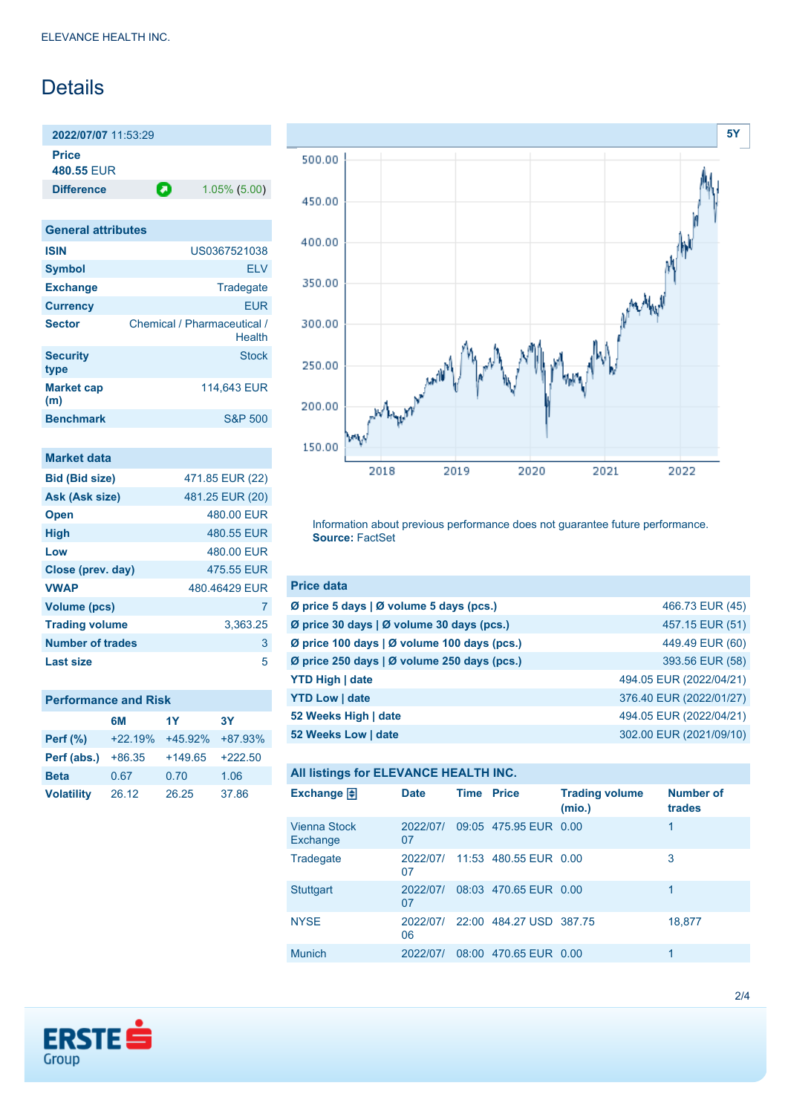## Details

**2022/07/07** 11:53:29 **Price**

**480.55** EUR

**Difference 1.05% (5.00)** 

| <b>General attributes</b>             |
|---------------------------------------|
| US0367521038                          |
| FI V                                  |
| Tradegate                             |
| <b>EUR</b>                            |
| Chemical / Pharmaceutical /<br>Health |
| <b>Stock</b>                          |
| 114,643 EUR                           |
| <b>S&amp;P 500</b>                    |
|                                       |

| <b>Market data</b>      |                 |
|-------------------------|-----------------|
| <b>Bid (Bid size)</b>   | 471.85 EUR (22) |
| Ask (Ask size)          | 481.25 EUR (20) |
| <b>Open</b>             | 480.00 EUR      |
| <b>High</b>             | 480.55 FUR      |
| Low                     | 480.00 EUR      |
| Close (prev. day)       | 475.55 FUR      |
| <b>VWAP</b>             | 480 46429 FUR   |
| <b>Volume (pcs)</b>     | 7               |
| <b>Trading volume</b>   | 3,363.25        |
| <b>Number of trades</b> | 3               |
| Last size               | 5               |

### **Performance and Risk**

|                   | 6M        | 1Y        | <b>3Y</b> |
|-------------------|-----------|-----------|-----------|
| <b>Perf</b> (%)   | $+22.19%$ | $+45.92%$ | +87.93%   |
| Perf (abs.)       | $+86.35$  | $+149.65$ | $+222.50$ |
| <b>Beta</b>       | 0.67      | 0.70      | 1.06      |
| <b>Volatility</b> | 26.12     | 26.25     | 37.86     |



Information about previous performance does not guarantee future performance. **Source:** FactSet

| <b>Price data</b>                                     |                         |
|-------------------------------------------------------|-------------------------|
| Ø price 5 days $\vert \emptyset$ volume 5 days (pcs.) | 466.73 EUR (45)         |
| Ø price 30 days   Ø volume 30 days (pcs.)             | 457.15 EUR (51)         |
| Ø price 100 days   Ø volume 100 days (pcs.)           | 449.49 EUR (60)         |
| Ø price 250 days   Ø volume 250 days (pcs.)           | 393.56 EUR (58)         |
| <b>YTD High   date</b>                                | 494.05 EUR (2022/04/21) |
| <b>YTD Low   date</b>                                 | 376.40 EUR (2022/01/27) |
| 52 Weeks High   date                                  | 494.05 EUR (2022/04/21) |
| 52 Weeks Low   date                                   | 302.00 EUR (2021/09/10) |

### **All listings for ELEVANCE HEALTH INC.**

| Exchange $\Box$                 | <b>Date</b>    | <b>Time Price</b> |                         | <b>Trading volume</b><br>(mio.) | <b>Number of</b><br>trades |
|---------------------------------|----------------|-------------------|-------------------------|---------------------------------|----------------------------|
| <b>Vienna Stock</b><br>Exchange | 2022/07/<br>07 |                   | 09:05 475.95 EUR 0.00   |                                 | 1                          |
| Tradegate                       | 2022/07/<br>07 |                   | 11:53 480.55 EUR 0.00   |                                 | 3                          |
| <b>Stuttgart</b>                | 2022/07/<br>07 |                   | 08:03 470.65 EUR 0.00   |                                 | 1                          |
| <b>NYSE</b>                     | 2022/07/<br>06 |                   | 22:00 484.27 USD 387.75 |                                 | 18,877                     |
| <b>Munich</b>                   | 2022/07/       |                   | 08:00 470.65 EUR 0.00   |                                 | 1                          |

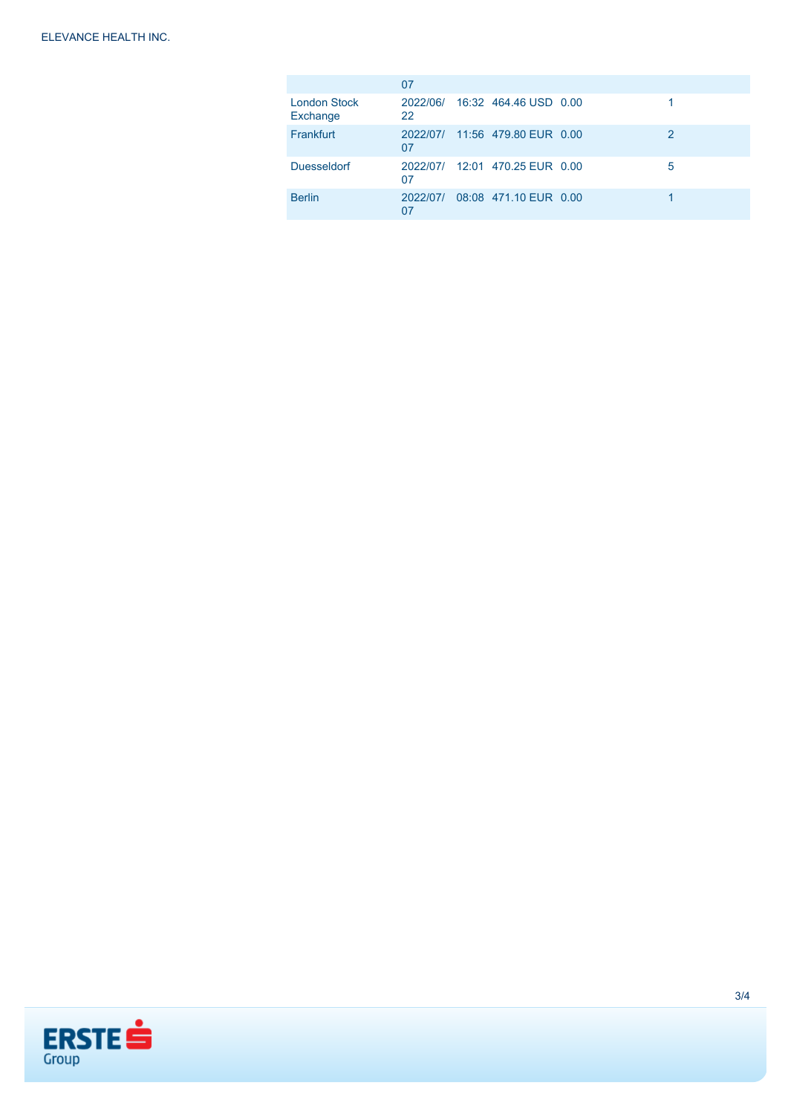|                                 | 07       |                                |   |
|---------------------------------|----------|--------------------------------|---|
| <b>London Stock</b><br>Exchange | 22       | 2022/06/ 16:32 464.46 USD 0.00 |   |
| Frankfurt                       | 07       | 2022/07/ 11:56 479.80 EUR 0.00 | 2 |
| <b>Duesseldorf</b>              | 07       | 2022/07/ 12:01 470.25 EUR 0.00 | 5 |
| <b>Berlin</b>                   | 2022/07/ | 08:08 471.10 EUR 0.00          |   |